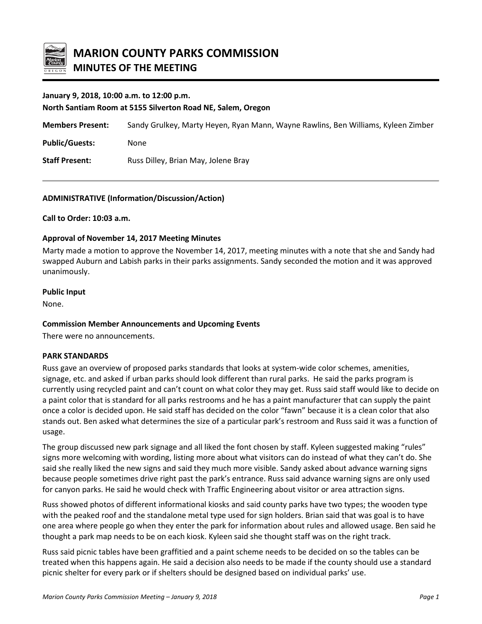

### **January 9, 2018, 10:00 a.m. to 12:00 p.m.**

**North Santiam Room at 5155 Silverton Road NE, Salem, Oregon**

**Members Present:** Sandy Grulkey, Marty Heyen, Ryan Mann, Wayne Rawlins, Ben Williams, Kyleen Zimber **Public/Guests:** None

**Staff Present:** Russ Dilley, Brian May, Jolene Bray

### **ADMINISTRATIVE (Information/Discussion/Action)**

**Call to Order: 10:03 a.m.**

### **Approval of November 14, 2017 Meeting Minutes**

Marty made a motion to approve the November 14, 2017, meeting minutes with a note that she and Sandy had swapped Auburn and Labish parks in their parks assignments. Sandy seconded the motion and it was approved unanimously.

#### **Public Input**

None.

### **Commission Member Announcements and Upcoming Events**

There were no announcements.

### **PARK STANDARDS**

Russ gave an overview of proposed parks standards that looks at system-wide color schemes, amenities, signage, etc. and asked if urban parks should look different than rural parks. He said the parks program is currently using recycled paint and can't count on what color they may get. Russ said staff would like to decide on a paint color that is standard for all parks restrooms and he has a paint manufacturer that can supply the paint once a color is decided upon. He said staff has decided on the color "fawn" because it is a clean color that also stands out. Ben asked what determines the size of a particular park's restroom and Russ said it was a function of usage.

The group discussed new park signage and all liked the font chosen by staff. Kyleen suggested making "rules" signs more welcoming with wording, listing more about what visitors can do instead of what they can't do. She said she really liked the new signs and said they much more visible. Sandy asked about advance warning signs because people sometimes drive right past the park's entrance. Russ said advance warning signs are only used for canyon parks. He said he would check with Traffic Engineering about visitor or area attraction signs.

Russ showed photos of different informational kiosks and said county parks have two types; the wooden type with the peaked roof and the standalone metal type used for sign holders. Brian said that was goal is to have one area where people go when they enter the park for information about rules and allowed usage. Ben said he thought a park map needs to be on each kiosk. Kyleen said she thought staff was on the right track.

Russ said picnic tables have been graffitied and a paint scheme needs to be decided on so the tables can be treated when this happens again. He said a decision also needs to be made if the county should use a standard picnic shelter for every park or if shelters should be designed based on individual parks' use.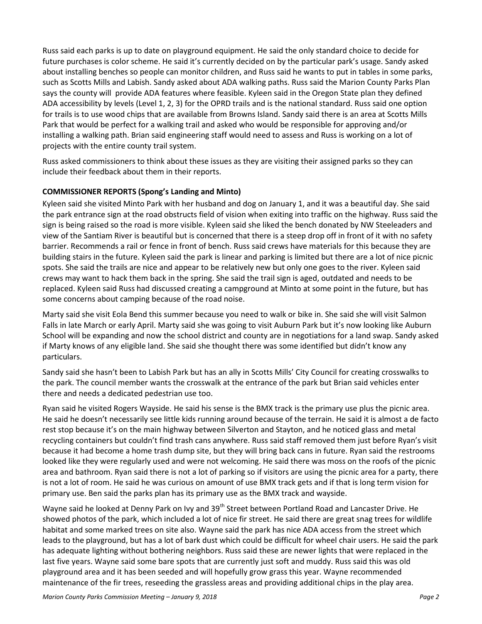Russ said each parks is up to date on playground equipment. He said the only standard choice to decide for future purchases is color scheme. He said it's currently decided on by the particular park's usage. Sandy asked about installing benches so people can monitor children, and Russ said he wants to put in tables in some parks, such as Scotts Mills and Labish. Sandy asked about ADA walking paths. Russ said the Marion County Parks Plan says the county will provide ADA features where feasible. Kyleen said in the Oregon State plan they defined ADA accessibility by levels (Level 1, 2, 3) for the OPRD trails and is the national standard. Russ said one option for trails is to use wood chips that are available from Browns Island. Sandy said there is an area at Scotts Mills Park that would be perfect for a walking trail and asked who would be responsible for approving and/or installing a walking path. Brian said engineering staff would need to assess and Russ is working on a lot of projects with the entire county trail system.

Russ asked commissioners to think about these issues as they are visiting their assigned parks so they can include their feedback about them in their reports.

# **COMMISSIONER REPORTS (Spong's Landing and Minto)**

Kyleen said she visited Minto Park with her husband and dog on January 1, and it was a beautiful day. She said the park entrance sign at the road obstructs field of vision when exiting into traffic on the highway. Russ said the sign is being raised so the road is more visible. Kyleen said she liked the bench donated by NW Steeleaders and view of the Santiam River is beautiful but is concerned that there is a steep drop off in front of it with no safety barrier. Recommends a rail or fence in front of bench. Russ said crews have materials for this because they are building stairs in the future. Kyleen said the park is linear and parking is limited but there are a lot of nice picnic spots. She said the trails are nice and appear to be relatively new but only one goes to the river. Kyleen said crews may want to hack them back in the spring. She said the trail sign is aged, outdated and needs to be replaced. Kyleen said Russ had discussed creating a campground at Minto at some point in the future, but has some concerns about camping because of the road noise.

Marty said she visit Eola Bend this summer because you need to walk or bike in. She said she will visit Salmon Falls in late March or early April. Marty said she was going to visit Auburn Park but it's now looking like Auburn School will be expanding and now the school district and county are in negotiations for a land swap. Sandy asked if Marty knows of any eligible land. She said she thought there was some identified but didn't know any particulars.

Sandy said she hasn't been to Labish Park but has an ally in Scotts Mills' City Council for creating crosswalks to the park. The council member wants the crosswalk at the entrance of the park but Brian said vehicles enter there and needs a dedicated pedestrian use too.

Ryan said he visited Rogers Wayside. He said his sense is the BMX track is the primary use plus the picnic area. He said he doesn't necessarily see little kids running around because of the terrain. He said it is almost a de facto rest stop because it's on the main highway between Silverton and Stayton, and he noticed glass and metal recycling containers but couldn't find trash cans anywhere. Russ said staff removed them just before Ryan's visit because it had become a home trash dump site, but they will bring back cans in future. Ryan said the restrooms looked like they were regularly used and were not welcoming. He said there was moss on the roofs of the picnic area and bathroom. Ryan said there is not a lot of parking so if visitors are using the picnic area for a party, there is not a lot of room. He said he was curious on amount of use BMX track gets and if that is long term vision for primary use. Ben said the parks plan has its primary use as the BMX track and wayside.

Wayne said he looked at Denny Park on Ivy and 39<sup>th</sup> Street between Portland Road and Lancaster Drive. He showed photos of the park, which included a lot of nice fir street. He said there are great snag trees for wildlife habitat and some marked trees on site also. Wayne said the park has nice ADA access from the street which leads to the playground, but has a lot of bark dust which could be difficult for wheel chair users. He said the park has adequate lighting without bothering neighbors. Russ said these are newer lights that were replaced in the last five years. Wayne said some bare spots that are currently just soft and muddy. Russ said this was old playground area and it has been seeded and will hopefully grow grass this year. Wayne recommended maintenance of the fir trees, reseeding the grassless areas and providing additional chips in the play area.